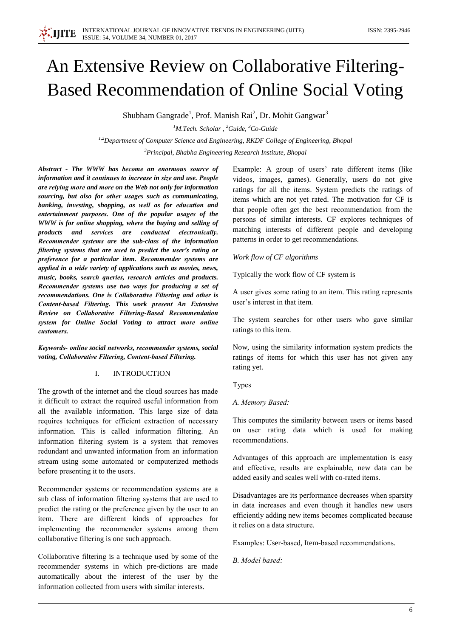# An Extensive Review on Collaborative Filtering-**Based Recommendation of Online Social Voting**

Shubham Gangrade<sup>1</sup>, Prof. Manish Rai<sup>2</sup>, Dr. Mohit Gangwar<sup>3</sup>

<sup>1</sup>M.Tech. Scholar, <sup>2</sup>Guide, <sup>3</sup>Co-Guide <sup>1,2</sup>Department of Computer Science and Engineering, RKDF College of Engineering, Bhopal <sup>3</sup>Principal, Bhabha Engineering Research Institute, Bhopal

Abstract - The WWW has become an enormous source of information and it continues to increase in size and use. People are relying more and more on the Web not only for information sourcing, but also for other usages such as communicating, banking, investing, shopping, as well as for education and entertainment purposes. One of the popular usages of the WWW is for online shopping, where the buying and selling of products and services are conducted electronically. Recommender systems are the sub-class of the information filtering systems that are used to predict the user's rating or preference for a particular item. Recommender systems are applied in a wide variety of applications such as movies, news, music, books, search queries, research articles and products. Recommender systems use two ways for producing a set of recommendations. One is Collaborative Filtering and other is Content-based Filtering. This work present An Extensive Review on Collaborative Filtering-Based Recommendation system for Online Social Voting to attract more online customers.

Keywords- online social networks, recommender systems, social voting, Collaborative Filtering, Content-based Filtering.

#### $\mathbf{L}$ **INTRODUCTION**

The growth of the internet and the cloud sources has made it difficult to extract the required useful information from all the available information. This large size of data requires techniques for efficient extraction of necessary information. This is called information filtering. An information filtering system is a system that removes redundant and unwanted information from an information stream using some automated or computerized methods before presenting it to the users.

Recommender systems or recommendation systems are a sub class of information filtering systems that are used to predict the rating or the preference given by the user to an item. There are different kinds of approaches for implementing the recommender systems among them collaborative filtering is one such approach.

Collaborative filtering is a technique used by some of the recommender systems in which pre-dictions are made automatically about the interest of the user by the information collected from users with similar interests.

Example: A group of users' rate different items (like videos, images, games). Generally, users do not give ratings for all the items. System predicts the ratings of items which are not yet rated. The motivation for CF is that people often get the best recommendation from the persons of similar interests. CF explores techniques of matching interests of different people and developing patterns in order to get recommendations.

## Work flow of CF algorithms

Typically the work flow of CF system is

A user gives some rating to an item. This rating represents user's interest in that item.

The system searches for other users who gave similar ratings to this item.

Now, using the similarity information system predicts the ratings of items for which this user has not given any rating yet.

Types

## A. Memory Based:

This computes the similarity between users or items based on user rating data which is used for making recommendations.

Advantages of this approach are implementation is easy and effective, results are explainable, new data can be added easily and scales well with co-rated items.

Disadvantages are its performance decreases when sparsity in data increases and even though it handles new users efficiently adding new items becomes complicated because it relies on a data structure.

Examples: User-based, Item-based recommendations.

B. Model based: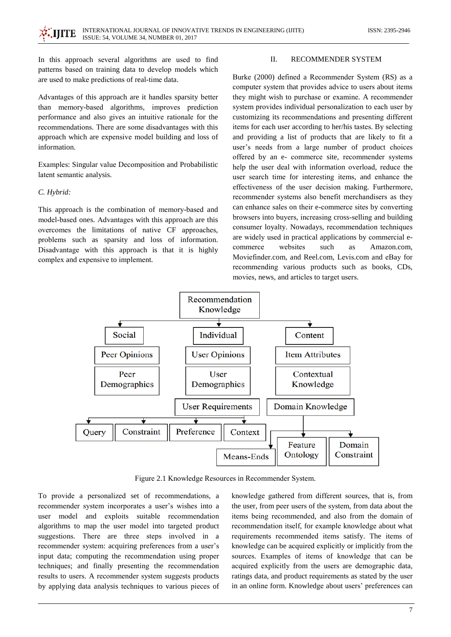In this approach several algorithms are used to find patterns based on training data to develop models which are used to make predictions of real-time data.

Advantages of this approach are it handles sparsity better than memory-based algorithms, improves prediction performance and also gives an intuitive rationale for the recommendations. There are some disadvantages with this approach which are expensive model building and loss of information

Examples: Singular value Decomposition and Probabilistic latent semantic analysis.

### C. Hybrid:

This approach is the combination of memory-based and model-based ones. Advantages with this approach are this overcomes the limitations of native CF approaches, problems such as sparsity and loss of information. Disadvantage with this approach is that it is highly complex and expensive to implement.

#### $\Pi$ . **RECOMMENDER SYSTEM**

Burke (2000) defined a Recommender System (RS) as a computer system that provides advice to users about items they might wish to purchase or examine. A recommender system provides individual personalization to each user by customizing its recommendations and presenting different items for each user according to her/his tastes. By selecting and providing a list of products that are likely to fit a user's needs from a large number of product choices offered by an e- commerce site, recommender systems help the user deal with information overload, reduce the user search time for interesting items, and enhance the effectiveness of the user decision making. Furthermore, recommender systems also benefit merchandisers as they can enhance sales on their e-commerce sites by converting browsers into buyers, increasing cross-selling and building consumer loyalty. Nowadays, recommendation techniques are widely used in practical applications by commercial ewebsites commerce such Amazon.com, **as** Moviefinder.com, and Reel.com, Levis.com and eBay for recommending various products such as books, CDs, movies, news, and articles to target users.



Figure 2.1 Knowledge Resources in Recommender System.

To provide a personalized set of recommendations, a recommender system incorporates a user's wishes into a user model and exploits suitable recommendation algorithms to map the user model into targeted product suggestions. There are three steps involved in a recommender system: acquiring preferences from a user's input data; computing the recommendation using proper techniques; and finally presenting the recommendation results to users. A recommender system suggests products by applying data analysis techniques to various pieces of knowledge gathered from different sources, that is, from the user, from peer users of the system, from data about the items being recommended, and also from the domain of recommendation itself, for example knowledge about what requirements recommended items satisfy. The items of knowledge can be acquired explicitly or implicitly from the sources. Examples of items of knowledge that can be acquired explicitly from the users are demographic data, ratings data, and product requirements as stated by the user in an online form. Knowledge about users' preferences can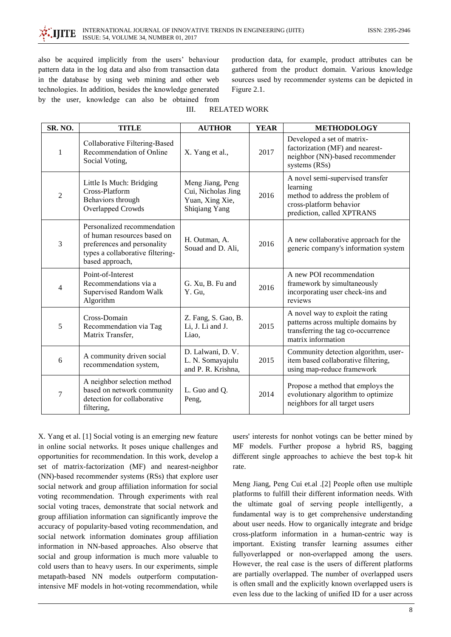also be acquired implicitly from the users' behaviour pattern data in the log data and also from transaction data in the database by using web mining and other web technologies. In addition, besides the knowledge generated by the user, knowledge can also be obtained from production data, for example, product attributes can be gathered from the product domain. Various knowledge sources used by recommender systems can be depicted in Figure 2.1.

#### **RELATED WORK**  $III$

| SR. NO.        | <b>TITLE</b>                                                                                                                                     | <b>AUTHOR</b>                                                              | <b>YEAR</b> | <b>METHODOLOGY</b>                                                                                                                        |
|----------------|--------------------------------------------------------------------------------------------------------------------------------------------------|----------------------------------------------------------------------------|-------------|-------------------------------------------------------------------------------------------------------------------------------------------|
| $\mathbf{1}$   | Collaborative Filtering-Based<br>Recommendation of Online<br>Social Voting,                                                                      | X. Yang et al.,                                                            | 2017        | Developed a set of matrix-<br>factorization (MF) and nearest-<br>neighbor (NN)-based recommender<br>systems (RSs)                         |
| $\overline{2}$ | Little Is Much: Bridging<br>Cross-Platform<br>Behaviors through<br>Overlapped Crowds                                                             | Meng Jiang, Peng<br>Cui, Nicholas Jing<br>Yuan, Xing Xie,<br>Shiqiang Yang | 2016        | A novel semi-supervised transfer<br>learning<br>method to address the problem of<br>cross-platform behavior<br>prediction, called XPTRANS |
| 3              | Personalized recommendation<br>of human resources based on<br>preferences and personality<br>types a collaborative filtering-<br>based approach, | H. Outman, A.<br>Souad and D. Ali,                                         | 2016        | A new collaborative approach for the<br>generic company's information system                                                              |
| 4              | Point-of-Interest<br>Recommendations via a<br>Supervised Random Walk<br>Algorithm                                                                | G. Xu, B. Fu and<br>Y. Gu,                                                 | 2016        | A new POI recommendation<br>framework by simultaneously<br>incorporating user check-ins and<br>reviews                                    |
| 5              | Cross-Domain<br>Recommendation via Tag<br>Matrix Transfer,                                                                                       | Z. Fang, S. Gao, B.<br>Li, J. Li and J.<br>Liao.                           | 2015        | A novel way to exploit the rating<br>patterns across multiple domains by<br>transferring the tag co-occurrence<br>matrix information      |
| 6              | A community driven social<br>recommendation system,                                                                                              | D. Lalwani, D. V.<br>L. N. Somayajulu<br>and P. R. Krishna,                | 2015        | Community detection algorithm, user-<br>item based collaborative filtering,<br>using map-reduce framework                                 |
| 7              | A neighbor selection method<br>based on network community<br>detection for collaborative<br>filtering,                                           | L. Guo and Q.<br>Peng,                                                     | 2014        | Propose a method that employs the<br>evolutionary algorithm to optimize<br>neighbors for all target users                                 |

X. Yang et al. [1] Social voting is an emerging new feature in online social networks. It poses unique challenges and opportunities for recommendation. In this work, develop a set of matrix-factorization (MF) and nearest-neighbor (NN)-based recommender systems (RSs) that explore user social network and group affiliation information for social voting recommendation. Through experiments with real social voting traces, demonstrate that social network and group affiliation information can significantly improve the accuracy of popularity-based voting recommendation, and social network information dominates group affiliation information in NN-based approaches. Also observe that social and group information is much more valuable to cold users than to heavy users. In our experiments, simple metapath-based NN models outperform computationintensive MF models in hot-voting recommendation, while

users' interests for nonhot votings can be better mined by MF models. Further propose a hybrid RS, bagging different single approaches to achieve the best top-k hit rate.

Meng Jiang, Peng Cui et.al .[2] People often use multiple platforms to fulfill their different information needs. With the ultimate goal of serving people intelligently, a fundamental way is to get comprehensive understanding about user needs. How to organically integrate and bridge cross-platform information in a human-centric way is important. Existing transfer learning assumes either fullyoverlapped or non-overlapped among the users. However, the real case is the users of different platforms are partially overlapped. The number of overlapped users is often small and the explicitly known overlapped users is even less due to the lacking of unified ID for a user across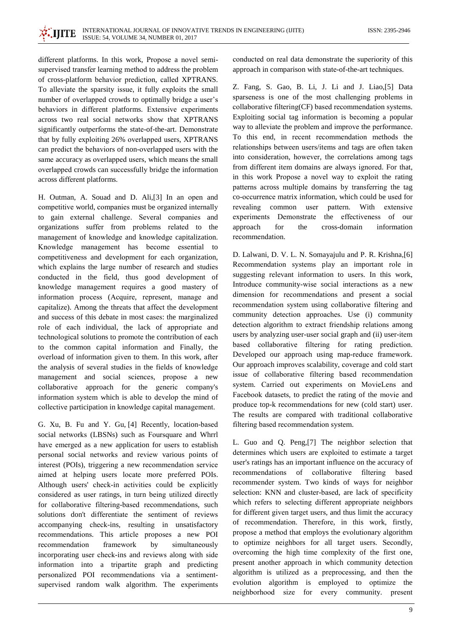different platforms. In this work, Propose a novel semisupervised transfer learning method to address the problem of cross-platform behavior prediction, called XPTRANS. To alleviate the sparsity issue, it fully exploits the small number of overlapped crowds to optimally bridge a user's behaviors in different platforms. Extensive experiments across two real social networks show that XPTRANS significantly outperforms the state-of-the-art. Demonstrate that by fully exploiting 26% overlapped users, XPTRANS can predict the behaviors of non-overlapped users with the same accuracy as overlapped users, which means the small overlapped crowds can successfully bridge the information across different platforms.

H. Outman, A. Souad and D. Ali, [3] In an open and competitive world, companies must be organized internally to gain external challenge. Several companies and organizations suffer from problems related to the management of knowledge and knowledge capitalization. Knowledge management has become essential to competitiveness and development for each organization, which explains the large number of research and studies conducted in the field, thus good development of knowledge management requires a good mastery of information process (Acquire, represent, manage and capitalize). Among the threats that affect the development and success of this debate in most cases: the marginalized role of each individual, the lack of appropriate and technological solutions to promote the contribution of each to the common capital information and Finally, the overload of information given to them. In this work, after the analysis of several studies in the fields of knowledge management and social sciences, propose a new collaborative approach for the generic company's information system which is able to develop the mind of collective participation in knowledge capital management.

G. Xu, B. Fu and Y. Gu, [4] Recently, location-based social networks (LBSNs) such as Foursquare and Whrrl have emerged as a new application for users to establish personal social networks and review various points of interest (POIs), triggering a new recommendation service aimed at helping users locate more preferred POIs. Although users' check-in activities could be explicitly considered as user ratings, in turn being utilized directly for collaborative filtering-based recommendations, such solutions don't differentiate the sentiment of reviews accompanying check-ins, resulting in unsatisfactory recommendations. This article proposes a new POI recommendation framework by simultaneously incorporating user check-ins and reviews along with side information into a tripartite graph and predicting personalized POI recommendations via a sentimentsupervised random walk algorithm. The experiments

conducted on real data demonstrate the superiority of this approach in comparison with state-of-the-art techniques.

Z. Fang, S. Gao, B. Li, J. Li and J. Liao,[5] Data sparseness is one of the most challenging problems in collaborative filtering(CF) based recommendation systems. Exploiting social tag information is becoming a popular way to alleviate the problem and improve the performance. To this end, in recent recommendation methods the relationships between users/items and tags are often taken into consideration, however, the correlations among tags from different item domains are always ignored. For that, in this work Propose a novel way to exploit the rating patterns across multiple domains by transferring the tag co-occurrence matrix information, which could be used for revealing common user pattern. With extensive experiments Demonstrate the effectiveness of our approach for cross-domain information the recommendation.

D. Lalwani, D. V. L. N. Somayajulu and P. R. Krishna, [6] Recommendation systems play an important role in suggesting relevant information to users. In this work, Introduce community-wise social interactions as a new dimension for recommendations and present a social recommendation system using collaborative filtering and community detection approaches. Use (i) community detection algorithm to extract friendship relations among users by analyzing user-user social graph and (ii) user-item based collaborative filtering for rating prediction. Developed our approach using map-reduce framework. Our approach improves scalability, coverage and cold start issue of collaborative filtering based recommendation system. Carried out experiments on MovieLens and Facebook datasets, to predict the rating of the movie and produce top-k recommendations for new (cold start) user. The results are compared with traditional collaborative filtering based recommendation system.

L. Guo and Q. Peng,[7] The neighbor selection that determines which users are exploited to estimate a target user's ratings has an important influence on the accuracy of recommendations of collaborative filtering based recommender system. Two kinds of ways for neighbor selection: KNN and cluster-based, are lack of specificity which refers to selecting different appropriate neighbors for different given target users, and thus limit the accuracy of recommendation. Therefore, in this work, firstly, propose a method that employs the evolutionary algorithm to optimize neighbors for all target users. Secondly, overcoming the high time complexity of the first one, present another approach in which community detection algorithm is utilized as a preprocessing, and then the evolution algorithm is employed to optimize the neighborhood size for every community, present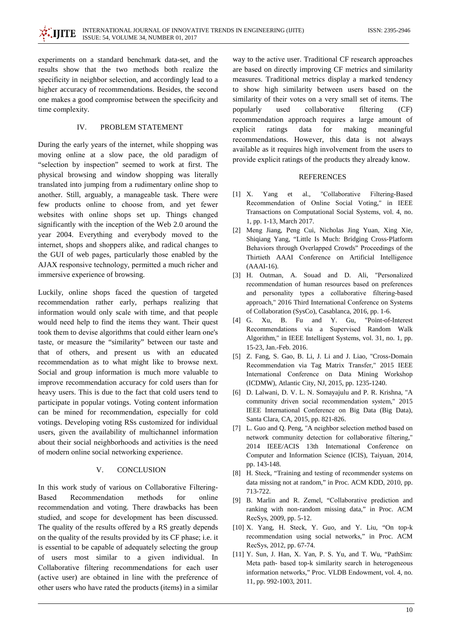experiments on a standard benchmark data-set, and the results show that the two methods both realize the specificity in neighbor selection, and accordingly lead to a higher accuracy of recommendations. Besides, the second one makes a good compromise between the specificity and time complexity.

#### IV. PROBLEM STATEMENT

During the early years of the internet, while shopping was moving online at a slow pace, the old paradigm of "selection by inspection" seemed to work at first. The physical browsing and window shopping was literally translated into jumping from a rudimentary online shop to another. Still, arguably, a manageable task. There were few products online to choose from, and yet fewer websites with online shops set up. Things changed significantly with the inception of the Web 2.0 around the year 2004. Everything and everybody moved to the internet, shops and shoppers alike, and radical changes to the GUI of web pages, particularly those enabled by the AJAX responsive technology, permitted a much richer and immersive experience of browsing.

Luckily, online shops faced the question of targeted recommendation rather early, perhaps realizing that information would only scale with time, and that people would need help to find the items they want. Their quest took them to devise algorithms that could either learn one's taste, or measure the "similarity" between our taste and that of others, and present us with an educated recommendation as to what might like to browse next. Social and group information is much more valuable to improve recommendation accuracy for cold users than for heavy users. This is due to the fact that cold users tend to participate in popular votings. Voting content information can be mined for recommendation, especially for cold votings. Developing voting RSs customized for individual users, given the availability of multichannel information about their social neighborhoods and activities is the need of modern online social networking experience.

#### $\mathbf{V}$ **CONCLUSION**

In this work study of various on Collaborative Filtering-**Based** Recommendation methods  $for$ online recommendation and voting. There drawbacks has been studied, and scope for development has been discussed. The quality of the results offered by a RS greatly depends on the quality of the results provided by its CF phase; i.e. it is essential to be capable of adequately selecting the group of users most similar to a given individual. In Collaborative filtering recommendations for each user (active user) are obtained in line with the preference of other users who have rated the products (items) in a similar

way to the active user. Traditional CF research approaches are based on directly improving CF metrics and similarity measures. Traditional metrics display a marked tendency to show high similarity between users based on the similarity of their votes on a very small set of items. The collaborative popularly used filtering  $(CF)$ recommendation approach requires a large amount of explicit ratings data for making meaningful recommendations. However, this data is not always available as it requires high involvement from the users to provide explicit ratings of the products they already know.

## **REFERENCES**

- $[1]$  X. "Collaborative Filtering-Based Yang  ${\it et}$ al., Recommendation of Online Social Voting," in IEEE Transactions on Computational Social Systems, vol. 4, no. 1, pp. 1-13, March 2017.
- [2] Meng Jiang, Peng Cui, Nicholas Jing Yuan, Xing Xie, Shiqiang Yang, "Little Is Much: Bridging Cross-Platform Behaviors through Overlapped Crowds" Proceedings of the Thirtieth AAAI Conference on Artificial Intelligence  $(AAAI-16)$ .
- [3] H. Outman, A. Souad and D. Ali, "Personalized recommendation of human resources based on preferences and personality types a collaborative filtering-based approach," 2016 Third International Conference on Systems of Collaboration (SysCo), Casablanca, 2016, pp. 1-6.
- Xu, B. Fu and Y. Gu,  $[4]$  G. "Point-of-Interest Recommendations via a Supervised Random Walk Algorithm," in IEEE Intelligent Systems, vol. 31, no. 1, pp. 15-23, Jan.-Feb. 2016.
- [5] Z. Fang, S. Gao, B. Li, J. Li and J. Liao, "Cross-Domain Recommendation via Tag Matrix Transfer," 2015 IEEE International Conference on Data Mining Workshop (ICDMW), Atlantic City, NJ, 2015, pp. 1235-1240.
- [6] D. Lalwani, D. V. L. N. Somayajulu and P. R. Krishna, "A community driven social recommendation system," 2015 IEEE International Conference on Big Data (Big Data), Santa Clara, CA, 2015, pp. 821-826.
- [7] L. Guo and Q. Peng, "A neighbor selection method based on network community detection for collaborative filtering," 2014 IEEE/ACIS 13th International Conference on Computer and Information Science (ICIS), Taiyuan, 2014, pp. 143-148.
- [8] H. Steck, "Training and testing of recommender systems on data missing not at random," in Proc. ACM KDD, 2010, pp. 713-722.
- [9] B. Marlin and R. Zemel, "Collaborative prediction and ranking with non-random missing data," in Proc. ACM RecSys, 2009, pp. 5-12.
- [10] X. Yang, H. Steck, Y. Guo, and Y. Liu, "On top-k recommendation using social networks," in Proc. ACM RecSys, 2012, pp. 67-74.
- [11] Y. Sun, J. Han, X. Yan, P. S. Yu, and T. Wu, "PathSim: Meta path- based top-k similarity search in heterogeneous information networks," Proc. VLDB Endowment, vol. 4, no. 11, pp. 992-1003, 2011.